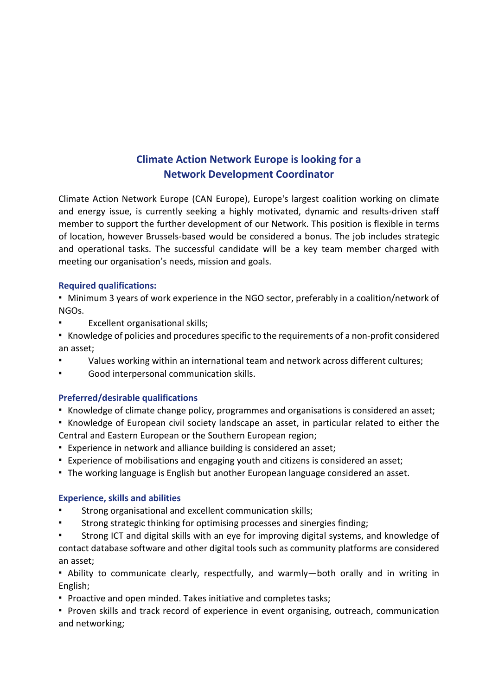# **Climate Action Network Europe is looking for a Network Development Coordinator**

Climate Action Network Europe (CAN Europe), Europe's largest coalition working on climate and energy issue, is currently seeking a highly motivated, dynamic and results-driven staff member to support the further development of our Network. This position is flexible in terms of location, however Brussels-based would be considered a bonus. The job includes strategic and operational tasks. The successful candidate will be a key team member charged with meeting our organisation's needs, mission and goals.

#### **Required qualifications:**

- Minimum 3 years of work experience in the NGO sector, preferably in a coalition/network of NGOs.
- Excellent organisational skills;
- Knowledge of policies and procedures specific to the requirements of a non-profit considered an asset;
- Values working within an international team and network across different cultures;
- Good interpersonal communication skills.

## **Preferred/desirable qualifications**

- Knowledge of climate change policy, programmes and organisations is considered an asset;
- Knowledge of European civil society landscape an asset, in particular related to either the Central and Eastern European or the Southern European region;
- Experience in network and alliance building is considered an asset;
- Experience of mobilisations and engaging youth and citizens is considered an asset;
- The working language is English but another European language considered an asset.

#### **Experience, skills and abilities**

- Strong organisational and excellent communication skills;
- Strong strategic thinking for optimising processes and sinergies finding;
- Strong ICT and digital skills with an eye for improving digital systems, and knowledge of contact database software and other digital tools such as community platforms are considered an asset;

▪ Ability to communicate clearly, respectfully, and warmly—both orally and in writing in English;

- Proactive and open minded. Takes initiative and completes tasks;
- Proven skills and track record of experience in event organising, outreach, communication and networking;